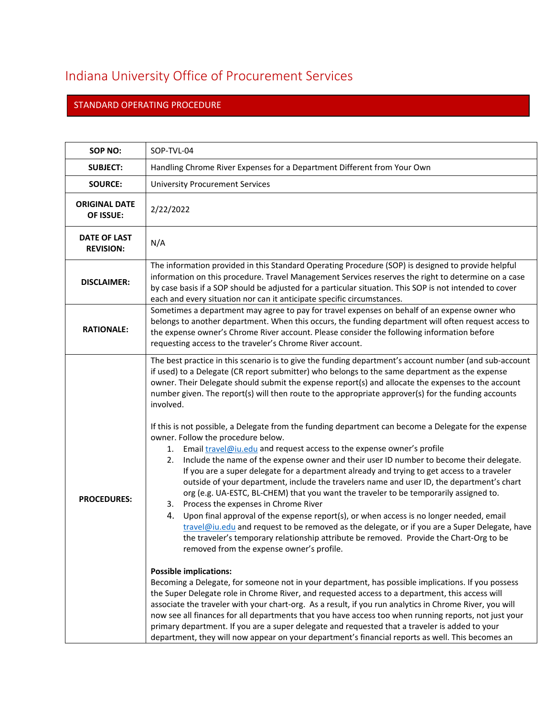## Indiana University Office of Procurement Services

## STANDARD OPERATING PROCEDURE